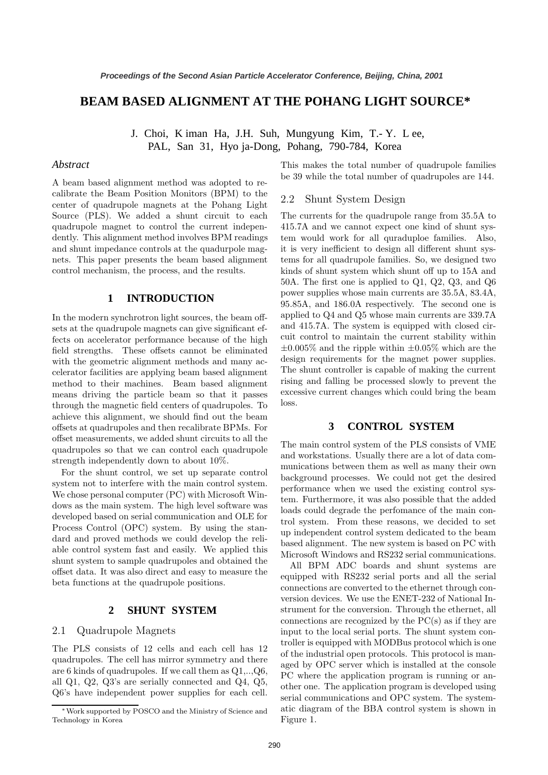# **BEAM BASED ALIGNMENT AT THE POHANG LIGHT SOURCE\***

J. Choi, K iman Ha, J.H. Suh, Mungyung Kim, T.- Y. L ee, PAL, San 31, Hyo ja-Dong, Pohang, 790-784, Korea

### *Abstract*

A beam based alignment method was adopted to recalibrate the Beam Position Monitors (BPM) to the center of quadrupole magnets at the Pohang Light Source (PLS). We added a shunt circuit to each quadrupole magnet to control the current independently. This alignment method involves BPM readings and shunt impedance controls at the quadurpole magnets. This paper presents the beam based alignment control mechanism, the process, and the results.

## **1 INTRODUCTION**

In the modern synchrotron light sources, the beam offsets at the quadrupole magnets can give significant effects on accelerator performance because of the high field strengths. These offsets cannot be eliminated with the geometric alignment methods and many accelerator facilities are applying beam based alignment method to their machines. Beam based alignment means driving the particle beam so that it passes through the magnetic field centers of quadrupoles. To achieve this alignment, we should find out the beam offsets at quadrupoles and then recalibrate BPMs. For offset measurements, we added shunt circuits to all the quadrupoles so that we can control each quadrupole strength independently down to about 10%.

For the shunt control, we set up separate control system not to interfere with the main control system. We chose personal computer (PC) with Microsoft Windows as the main system. The high level software was developed based on serial communication and OLE for Process Control (OPC) system. By using the standard and proved methods we could develop the reliable control system fast and easily. We applied this shunt system to sample quadrupoles and obtained the offset data. It was also direct and easy to measure the beta functions at the quadrupole positions.

### **2 SHUNT SYSTEM**

#### 2.1 Quadrupole Magnets

The PLS consists of 12 cells and each cell has 12 quadrupoles. The cell has mirror symmetry and there are 6 kinds of quadrupoles. If we call them as Q1,..,Q6, all Q1, Q2, Q3's are serially connected and Q4, Q5, Q6's have independent power supplies for each cell.

This makes the total number of quadrupole families be 39 while the total number of quadrupoles are 144.

### 2.2 Shunt System Design

The currents for the quadrupole range from 35.5A to 415.7A and we cannot expect one kind of shunt system would work for all quraduploe families. Also, it is very inefficient to design all different shunt systems for all quadrupole families. So, we designed two kinds of shunt system which shunt off up to 15A and 50A. The first one is applied to Q1, Q2, Q3, and Q6 power supplies whose main currents are 35.5A, 83.4A, 95.85A, and 186.0A respectively. The second one is applied to Q4 and Q5 whose main currents are 339.7A and 415.7A. The system is equipped with closed circuit control to maintain the current stability within  $\pm 0.005\%$  and the ripple within  $\pm 0.05\%$  which are the design requirements for the magnet power supplies. The shunt controller is capable of making the current rising and falling be processed slowly to prevent the excessive current changes which could bring the beam loss.

#### **3 CONTROL SYSTEM**

The main control system of the PLS consists of VME and workstations. Usually there are a lot of data communications between them as well as many their own background processes. We could not get the desired performance when we used the existing control system. Furthermore, it was also possible that the added loads could degrade the perfomance of the main control system. From these reasons, we decided to set up independent control system dedicated to the beam based alignment. The new system is based on PC with Microsoft Windows and RS232 serial communications.

All BPM ADC boards and shunt systems are equipped with RS232 serial ports and all the serial connections are converted to the ethernet through conversion devices. We use the ENET-232 of National Instrument for the conversion. Through the ethernet, all connections are recognized by the PC(s) as if they are input to the local serial ports. The shunt system controller is equipped with MODBus protocol which is one of the industrial open protocols. This protocol is managed by OPC server which is installed at the console PC where the application program is running or another one. The application program is developed using serial communications and OPC system. The systematic diagram of the BBA control system is shown in Figure 1.

<sup>∗</sup>Work supported by POSCO and the Ministry of Science and Technology in Korea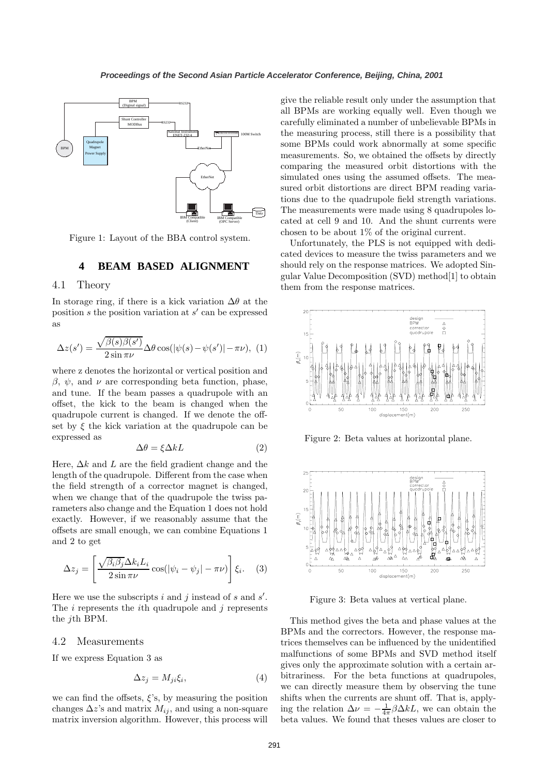

Figure 1: Layout of the BBA control system.

## **4 BEAM BASED ALIGNMENT**

#### 4.1 Theory

In storage ring, if there is a kick variation  $\Delta\theta$  at the position s the position variation at  $s'$  can be expressed as

$$
\Delta z(s') = \frac{\sqrt{\beta(s)\beta(s')}}{2\sin\pi\nu} \Delta\theta\cos(|\psi(s) - \psi(s')| - \pi\nu), \tag{1}
$$

where z denotes the horizontal or vertical position and  $\beta$ ,  $\psi$ , and  $\nu$  are corresponding beta function, phase, and tune. If the beam passes a quadrupole with an offset, the kick to the beam is changed when the quadrupole current is changed. If we denote the offset by  $\xi$  the kick variation at the quadrupole can be expressed as

$$
\Delta \theta = \xi \Delta k L \tag{2}
$$

Here,  $\Delta k$  and L are the field gradient change and the length of the quadrupole. Different from the case when the field strength of a corrector magnet is changed, when we change that of the quadrupole the twiss parameters also change and the Equation 1 does not hold exactly. However, if we reasonably assume that the offsets are small enough, we can combine Equations 1 and 2 to get

$$
\Delta z_j = \left[ \frac{\sqrt{\beta_i \beta_j} \Delta k_i L_i}{2 \sin \pi \nu} \cos(|\psi_i - \psi_j| - \pi \nu) \right] \xi_i.
$$
 (3)

Here we use the subscripts  $i$  and  $j$  instead of  $s$  and  $s'$ . The  $i$  represents the  $i$ <sup>th</sup> quadrupole and  $j$  represents the jth BPM.

#### 4.2 Measurements

If we express Equation 3 as

$$
\Delta z_j = M_{ji} \xi_i,\tag{4}
$$

we can find the offsets,  $\xi$ 's, by measuring the position changes  $\Delta z$ 's and matrix  $M_{ij}$ , and using a non-square matrix inversion algorithm. However, this process will give the reliable result only under the assumption that all BPMs are working equally well. Even though we carefully eliminated a number of unbelievable BPMs in the measuring process, still there is a possibility that some BPMs could work abnormally at some specific measurements. So, we obtained the offsets by directly comparing the measured orbit distortions with the simulated ones using the assumed offsets. The measured orbit distortions are direct BPM reading variations due to the quadrupole field strength variations. The measurements were made using 8 quadrupoles located at cell 9 and 10. And the shunt currents were chosen to be about 1% of the original current.

Unfortunately, the PLS is not equipped with dedicated devices to measure the twiss parameters and we should rely on the response matrices. We adopted Singular Value Decomposition (SVD) method[1] to obtain them from the response matrices.



Figure 2: Beta values at horizontal plane.



Figure 3: Beta values at vertical plane.

This method gives the beta and phase values at the BPMs and the correctors. However, the response matrices themselves can be influenced by the unidentified malfunctions of some BPMs and SVD method itself gives only the approximate solution with a certain arbitrariness. For the beta functions at quadrupoles, we can directly measure them by observing the tune shifts when the currents are shunt off. That is, applying the relation  $\Delta \nu = -\frac{1}{4\pi} \beta \Delta k L$ , we can obtain the beta values. We found that theses values are closer to